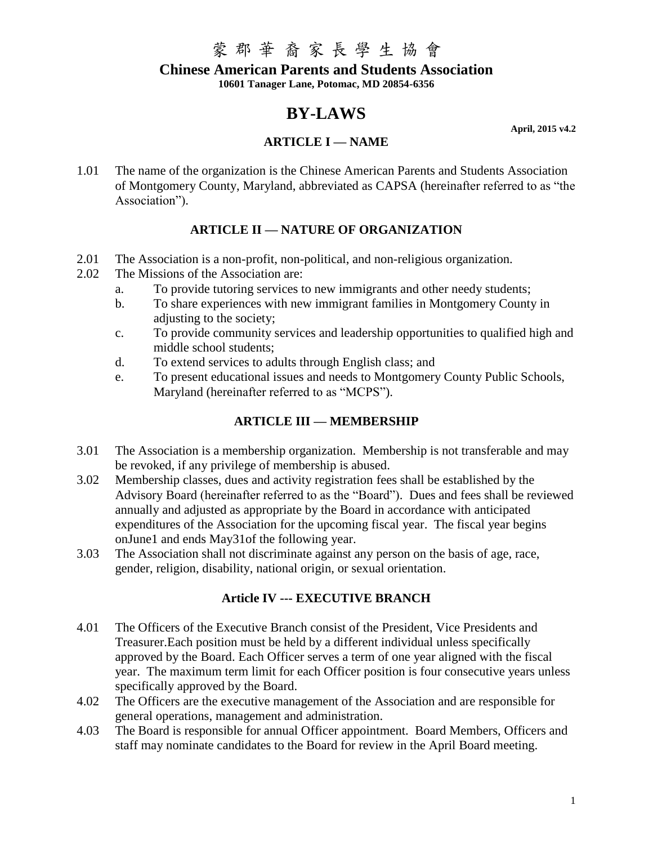#### **Chinese American Parents and Students Association**

**10601 Tanager Lane, Potomac, MD 20854-6356**

## **BY-LAWS**

### **ARTICLE I — NAME**

**April, 2015 v4.2**

1.01 The name of the organization is the Chinese American Parents and Students Association of Montgomery County, Maryland, abbreviated as CAPSA (hereinafter referred to as "the Association").

### **ARTICLE II — NATURE OF ORGANIZATION**

- 2.01 The Association is a non-profit, non-political, and non-religious organization.
- 2.02 The Missions of the Association are:
	- a. To provide tutoring services to new immigrants and other needy students;
	- b. To share experiences with new immigrant families in Montgomery County in adjusting to the society:
	- c. To provide community services and leadership opportunities to qualified high and middle school students;
	- d. To extend services to adults through English class; and
	- e. To present educational issues and needs to Montgomery County Public Schools, Maryland (hereinafter referred to as "MCPS").

### **ARTICLE III — MEMBERSHIP**

- 3.01 The Association is a membership organization. Membership is not transferable and may be revoked, if any privilege of membership is abused.
- 3.02 Membership classes, dues and activity registration fees shall be established by the Advisory Board (hereinafter referred to as the "Board"). Dues and fees shall be reviewed annually and adjusted as appropriate by the Board in accordance with anticipated expenditures of the Association for the upcoming fiscal year. The fiscal year begins onJune1 and ends May31of the following year.
- 3.03 The Association shall not discriminate against any person on the basis of age, race, gender, religion, disability, national origin, or sexual orientation.

### **Article IV --- EXECUTIVE BRANCH**

- 4.01 The Officers of the Executive Branch consist of the President, Vice Presidents and Treasurer.Each position must be held by a different individual unless specifically approved by the Board. Each Officer serves a term of one year aligned with the fiscal year. The maximum term limit for each Officer position is four consecutive years unless specifically approved by the Board.
- 4.02 The Officers are the executive management of the Association and are responsible for general operations, management and administration.
- 4.03 The Board is responsible for annual Officer appointment. Board Members, Officers and staff may nominate candidates to the Board for review in the April Board meeting.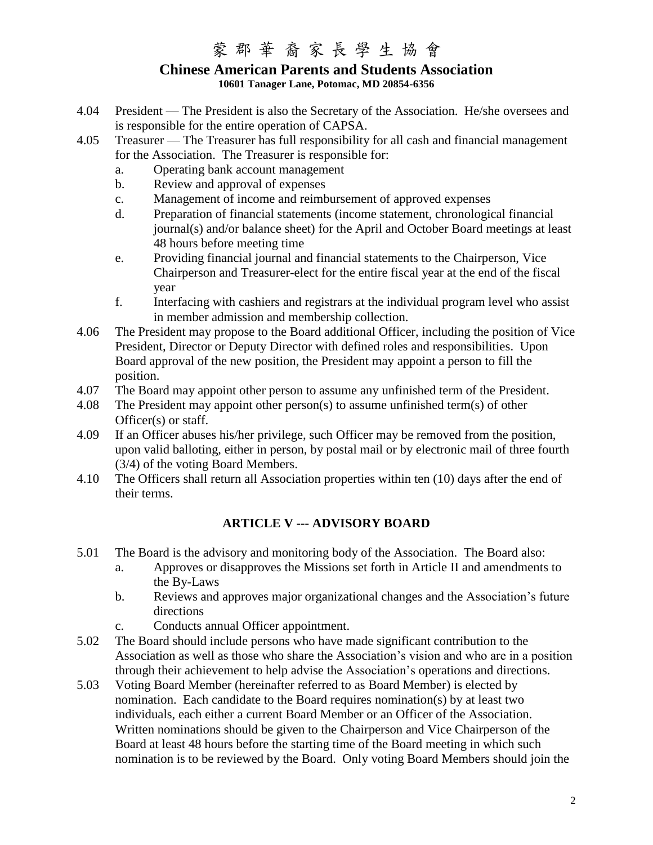### **Chinese American Parents and Students Association 10601 Tanager Lane, Potomac, MD 20854-6356**

- 4.04 President The President is also the Secretary of the Association. He/she oversees and is responsible for the entire operation of CAPSA.
- 4.05 Treasurer The Treasurer has full responsibility for all cash and financial management for the Association. The Treasurer is responsible for:
	- a. Operating bank account management
	- b. Review and approval of expenses
	- c. Management of income and reimbursement of approved expenses
	- d. Preparation of financial statements (income statement, chronological financial journal(s) and/or balance sheet) for the April and October Board meetings at least 48 hours before meeting time
	- e. Providing financial journal and financial statements to the Chairperson, Vice Chairperson and Treasurer-elect for the entire fiscal year at the end of the fiscal year
	- f. Interfacing with cashiers and registrars at the individual program level who assist in member admission and membership collection.
- 4.06 The President may propose to the Board additional Officer, including the position of Vice President, Director or Deputy Director with defined roles and responsibilities. Upon Board approval of the new position, the President may appoint a person to fill the position.
- 4.07 The Board may appoint other person to assume any unfinished term of the President.
- 4.08 The President may appoint other person(s) to assume unfinished term(s) of other Officer(s) or staff.
- 4.09 If an Officer abuses his/her privilege, such Officer may be removed from the position, upon valid balloting, either in person, by postal mail or by electronic mail of three fourth (3/4) of the voting Board Members.
- 4.10 The Officers shall return all Association properties within ten (10) days after the end of their terms.

### **ARTICLE V --- ADVISORY BOARD**

- 5.01 The Board is the advisory and monitoring body of the Association. The Board also:
	- a. Approves or disapproves the Missions set forth in Article II and amendments to the By-Laws
	- b. Reviews and approves major organizational changes and the Association's future directions
	- c. Conducts annual Officer appointment.
- 5.02 The Board should include persons who have made significant contribution to the Association as well as those who share the Association's vision and who are in a position through their achievement to help advise the Association's operations and directions.
- 5.03 Voting Board Member (hereinafter referred to as Board Member) is elected by nomination. Each candidate to the Board requires nomination(s) by at least two individuals, each either a current Board Member or an Officer of the Association. Written nominations should be given to the Chairperson and Vice Chairperson of the Board at least 48 hours before the starting time of the Board meeting in which such nomination is to be reviewed by the Board. Only voting Board Members should join the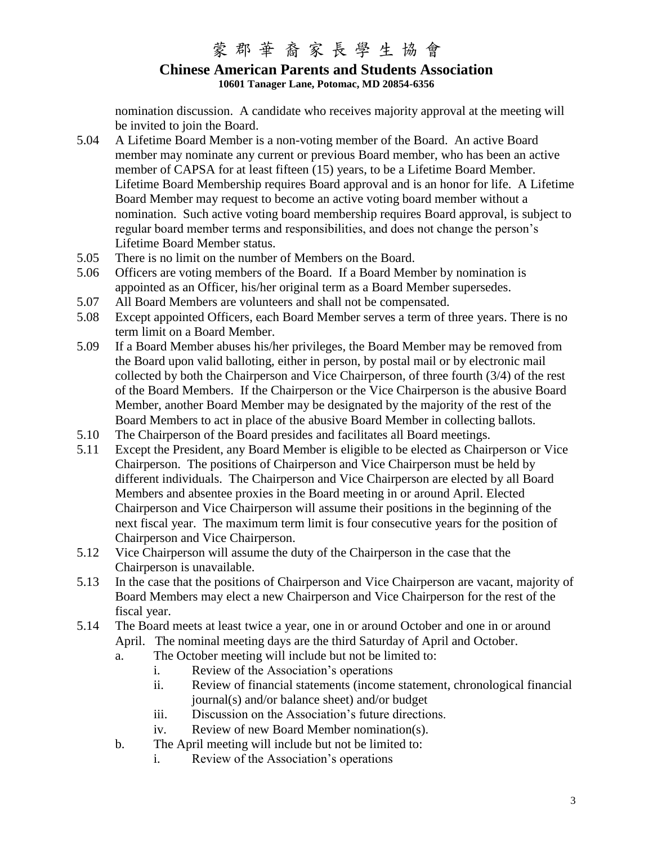### **Chinese American Parents and Students Association 10601 Tanager Lane, Potomac, MD 20854-6356**

nomination discussion. A candidate who receives majority approval at the meeting will be invited to join the Board.

- 5.04 A Lifetime Board Member is a non-voting member of the Board. An active Board member may nominate any current or previous Board member, who has been an active member of CAPSA for at least fifteen (15) years, to be a Lifetime Board Member. Lifetime Board Membership requires Board approval and is an honor for life. A Lifetime Board Member may request to become an active voting board member without a nomination. Such active voting board membership requires Board approval, is subject to regular board member terms and responsibilities, and does not change the person's Lifetime Board Member status.
- 5.05 There is no limit on the number of Members on the Board.
- 5.06 Officers are voting members of the Board. If a Board Member by nomination is appointed as an Officer, his/her original term as a Board Member supersedes.
- 5.07 All Board Members are volunteers and shall not be compensated.
- 5.08 Except appointed Officers, each Board Member serves a term of three years. There is no term limit on a Board Member.
- 5.09 If a Board Member abuses his/her privileges, the Board Member may be removed from the Board upon valid balloting, either in person, by postal mail or by electronic mail collected by both the Chairperson and Vice Chairperson, of three fourth (3/4) of the rest of the Board Members. If the Chairperson or the Vice Chairperson is the abusive Board Member, another Board Member may be designated by the majority of the rest of the Board Members to act in place of the abusive Board Member in collecting ballots.
- 5.10 The Chairperson of the Board presides and facilitates all Board meetings.
- 5.11 Except the President, any Board Member is eligible to be elected as Chairperson or Vice Chairperson. The positions of Chairperson and Vice Chairperson must be held by different individuals. The Chairperson and Vice Chairperson are elected by all Board Members and absentee proxies in the Board meeting in or around April. Elected Chairperson and Vice Chairperson will assume their positions in the beginning of the next fiscal year. The maximum term limit is four consecutive years for the position of Chairperson and Vice Chairperson.
- 5.12 Vice Chairperson will assume the duty of the Chairperson in the case that the Chairperson is unavailable.
- 5.13 In the case that the positions of Chairperson and Vice Chairperson are vacant, majority of Board Members may elect a new Chairperson and Vice Chairperson for the rest of the fiscal year.
- 5.14 The Board meets at least twice a year, one in or around October and one in or around April. The nominal meeting days are the third Saturday of April and October.
	- a. The October meeting will include but not be limited to:
		- i. Review of the Association's operations
		- ii. Review of financial statements (income statement, chronological financial journal(s) and/or balance sheet) and/or budget
		- iii. Discussion on the Association's future directions.
		- iv. Review of new Board Member nomination(s).
	- b. The April meeting will include but not be limited to:
		- i. Review of the Association's operations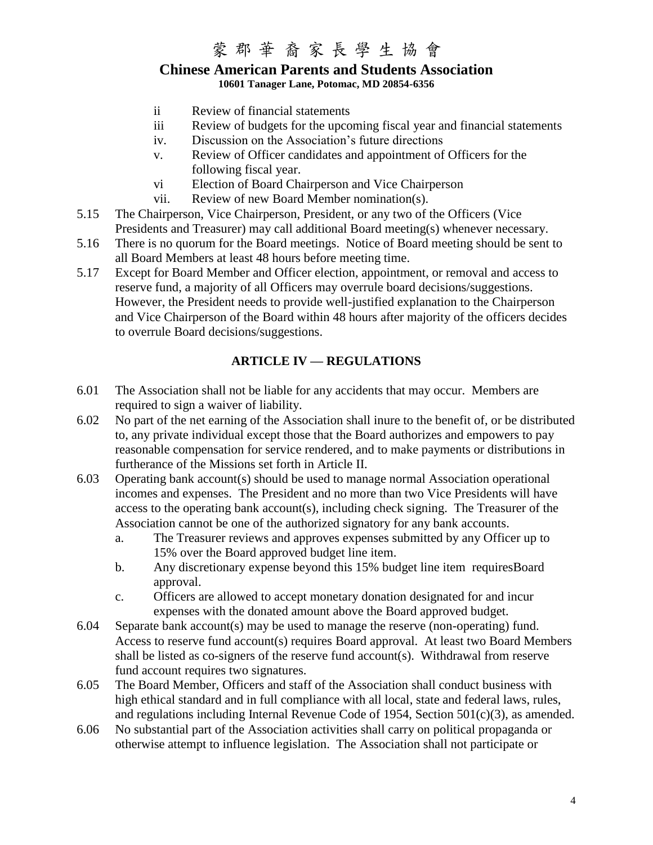### **Chinese American Parents and Students Association 10601 Tanager Lane, Potomac, MD 20854-6356**

- ii Review of financial statements
- iii Review of budgets for the upcoming fiscal year and financial statements
- iv. Discussion on the Association's future directions
- v. Review of Officer candidates and appointment of Officers for the following fiscal year.
- vi Election of Board Chairperson and Vice Chairperson
- vii. Review of new Board Member nomination(s).
- 5.15 The Chairperson, Vice Chairperson, President, or any two of the Officers (Vice Presidents and Treasurer) may call additional Board meeting(s) whenever necessary.
- 5.16 There is no quorum for the Board meetings. Notice of Board meeting should be sent to all Board Members at least 48 hours before meeting time.
- 5.17 Except for Board Member and Officer election, appointment, or removal and access to reserve fund, a majority of all Officers may overrule board decisions/suggestions. However, the President needs to provide well-justified explanation to the Chairperson and Vice Chairperson of the Board within 48 hours after majority of the officers decides to overrule Board decisions/suggestions.

### **ARTICLE IV — REGULATIONS**

- 6.01 The Association shall not be liable for any accidents that may occur. Members are required to sign a waiver of liability.
- 6.02 No part of the net earning of the Association shall inure to the benefit of, or be distributed to, any private individual except those that the Board authorizes and empowers to pay reasonable compensation for service rendered, and to make payments or distributions in furtherance of the Missions set forth in Article II.
- 6.03 Operating bank account(s) should be used to manage normal Association operational incomes and expenses. The President and no more than two Vice Presidents will have access to the operating bank account(s), including check signing. The Treasurer of the Association cannot be one of the authorized signatory for any bank accounts.
	- a. The Treasurer reviews and approves expenses submitted by any Officer up to 15% over the Board approved budget line item.
	- b. Any discretionary expense beyond this 15% budget line item requiresBoard approval.
	- c. Officers are allowed to accept monetary donation designated for and incur expenses with the donated amount above the Board approved budget.
- 6.04 Separate bank account(s) may be used to manage the reserve (non-operating) fund. Access to reserve fund account(s) requires Board approval. At least two Board Members shall be listed as co-signers of the reserve fund account(s). Withdrawal from reserve fund account requires two signatures.
- 6.05 The Board Member, Officers and staff of the Association shall conduct business with high ethical standard and in full compliance with all local, state and federal laws, rules, and regulations including Internal Revenue Code of 1954, Section  $501(c)(3)$ , as amended.
- 6.06 No substantial part of the Association activities shall carry on political propaganda or otherwise attempt to influence legislation. The Association shall not participate or